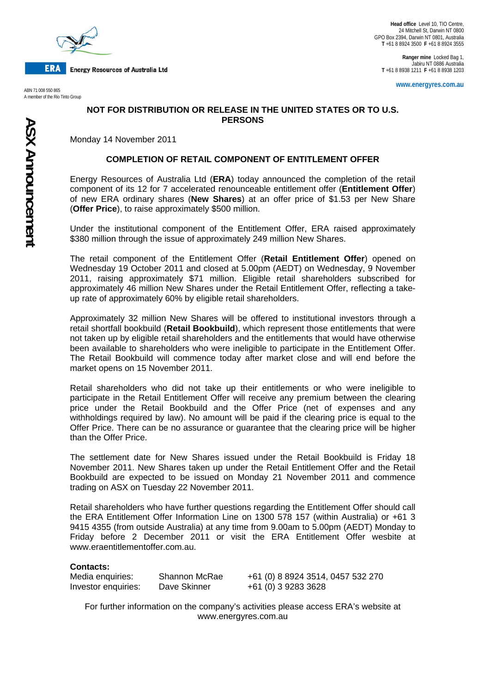

**ERA Energy Resources of Australia Ltd** 

A member of the Rio Tinto Group

**Ranger mine** Locked Bag 1, Jabiru NT 0886 Australia **T** +61 8 8938 1211 **F** +61 8 8938 1203

**www.energyres.com.au** ABN 71 008 550 865

## **NOT FOR DISTRIBUTION OR RELEASE IN THE UNITED STATES OR TO U.S. PERSONS**

Monday 14 November 2011

## **COMPLETION OF RETAIL COMPONENT OF ENTITLEMENT OFFER**

Energy Resources of Australia Ltd (**ERA**) today announced the completion of the retail component of its 12 for 7 accelerated renounceable entitlement offer (**Entitlement Offer**) of new ERA ordinary shares (**New Shares**) at an offer price of \$1.53 per New Share (**Offer Price**), to raise approximately \$500 million.

Under the institutional component of the Entitlement Offer, ERA raised approximately \$380 million through the issue of approximately 249 million New Shares.

The retail component of the Entitlement Offer (**Retail Entitlement Offer**) opened on Wednesday 19 October 2011 and closed at 5.00pm (AEDT) on Wednesday, 9 November 2011, raising approximately \$71 million. Eligible retail shareholders subscribed for approximately 46 million New Shares under the Retail Entitlement Offer, reflecting a takeup rate of approximately 60% by eligible retail shareholders.

Approximately 32 million New Shares will be offered to institutional investors through a retail shortfall bookbuild (**Retail Bookbuild**), which represent those entitlements that were not taken up by eligible retail shareholders and the entitlements that would have otherwise been available to shareholders who were ineligible to participate in the Entitlement Offer. The Retail Bookbuild will commence today after market close and will end before the market opens on 15 November 2011.

Retail shareholders who did not take up their entitlements or who were ineligible to participate in the Retail Entitlement Offer will receive any premium between the clearing price under the Retail Bookbuild and the Offer Price (net of expenses and any withholdings required by law). No amount will be paid if the clearing price is equal to the Offer Price. There can be no assurance or guarantee that the clearing price will be higher than the Offer Price.

The settlement date for New Shares issued under the Retail Bookbuild is Friday 18 November 2011. New Shares taken up under the Retail Entitlement Offer and the Retail Bookbuild are expected to be issued on Monday 21 November 2011 and commence trading on ASX on Tuesday 22 November 2011.

Retail shareholders who have further questions regarding the Entitlement Offer should call the ERA Entitlement Offer Information Line on 1300 578 157 (within Australia) or +61 3 9415 4355 (from outside Australia) at any time from 9.00am to 5.00pm (AEDT) Monday to Friday before 2 December 2011 or visit the ERA Entitlement Offer wesbite at www.eraentitlementoffer.com.au.

## **Contacts:**

Investor enquiries: Dave Skinner +61 (0) 3 9283 3628

Media enquiries: Shannon McRae +61 (0) 8 8924 3514, 0457 532 270

For further information on the company's activities please access ERA's website at www.energyres.com.au